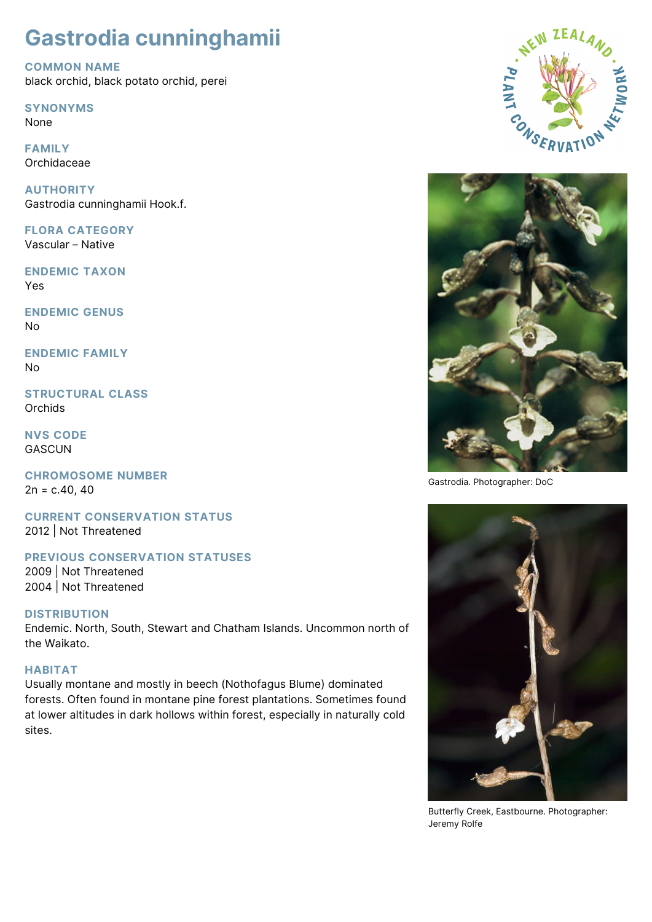# **Gastrodia cunninghamii**

**COMMON NAME** black orchid, black potato orchid, perei

**SYNONYMS**

None

**FAMILY** Orchidaceae

**AUTHORITY** Gastrodia cunninghamii Hook.f.

**FLORA CATEGORY** Vascular – Native

**ENDEMIC TAXON** Yes

**ENDEMIC GENUS** No

**ENDEMIC FAMILY** No

**STRUCTURAL CLASS Orchids** 

**NVS CODE GASCUN** 

**CHROMOSOME NUMBER**  $2n = c.40, 40$ 

**CURRENT CONSERVATION STATUS** 2012 | Not Threatened

# **PREVIOUS CONSERVATION STATUSES**

2009 | Not Threatened 2004 | Not Threatened

# **DISTRIBUTION**

Endemic. North, South, Stewart and Chatham Islands. Uncommon north of the Waikato.

### **HABITAT**

Usually montane and mostly in beech (Nothofagus Blume) dominated forests. Often found in montane pine forest plantations. Sometimes found at lower altitudes in dark hollows within forest, especially in naturally cold sites.





Gastrodia. Photographer: DoC



Butterfly Creek, Eastbourne. Photographer: Jeremy Rolfe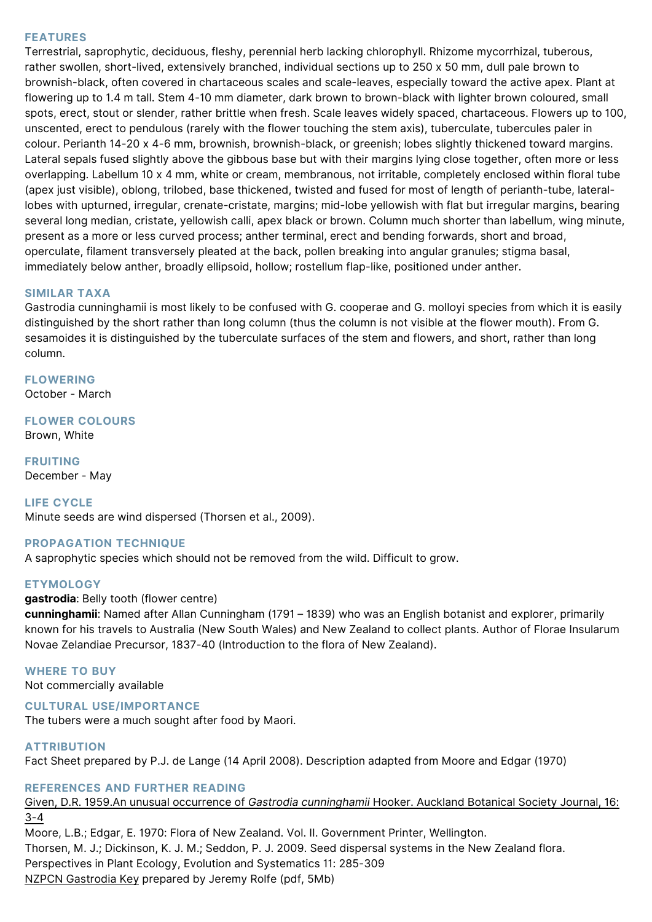#### **FEATURES**

Terrestrial, saprophytic, deciduous, fleshy, perennial herb lacking chlorophyll. Rhizome mycorrhizal, tuberous, rather swollen, short-lived, extensively branched, individual sections up to 250 x 50 mm, dull pale brown to brownish-black, often covered in chartaceous scales and scale-leaves, especially toward the active apex. Plant at flowering up to 1.4 m tall. Stem 4-10 mm diameter, dark brown to brown-black with lighter brown coloured, small spots, erect, stout or slender, rather brittle when fresh. Scale leaves widely spaced, chartaceous. Flowers up to 100, unscented, erect to pendulous (rarely with the flower touching the stem axis), tuberculate, tubercules paler in colour. Perianth 14-20 x 4-6 mm, brownish, brownish-black, or greenish; lobes slightly thickened toward margins. Lateral sepals fused slightly above the gibbous base but with their margins lying close together, often more or less overlapping. Labellum 10 x 4 mm, white or cream, membranous, not irritable, completely enclosed within floral tube (apex just visible), oblong, trilobed, base thickened, twisted and fused for most of length of perianth-tube, laterallobes with upturned, irregular, crenate-cristate, margins; mid-lobe yellowish with flat but irregular margins, bearing several long median, cristate, yellowish calli, apex black or brown. Column much shorter than labellum, wing minute, present as a more or less curved process; anther terminal, erect and bending forwards, short and broad, operculate, filament transversely pleated at the back, pollen breaking into angular granules; stigma basal, immediately below anther, broadly ellipsoid, hollow; rostellum flap-like, positioned under anther.

#### **SIMILAR TAXA**

Gastrodia cunninghamii is most likely to be confused with G. cooperae and G. molloyi species from which it is easily distinguished by the short rather than long column (thus the column is not visible at the flower mouth). From G. sesamoides it is distinguished by the tuberculate surfaces of the stem and flowers, and short, rather than long column.

**FLOWERING** October - March

**FLOWER COLOURS** Brown, White

**FRUITING** December - May

#### **LIFE CYCLE**

Minute seeds are wind dispersed (Thorsen et al., 2009).

#### **PROPAGATION TECHNIQUE**

A saprophytic species which should not be removed from the wild. Difficult to grow.

#### **ETYMOLOGY**

#### **gastrodia**: Belly tooth (flower centre)

**cunninghamii**: Named after Allan Cunningham (1791 – 1839) who was an English botanist and explorer, primarily known for his travels to Australia (New South Wales) and New Zealand to collect plants. Author of Florae Insularum Novae Zelandiae Precursor, 1837-40 (Introduction to the flora of New Zealand).

# **WHERE TO BUY**

Not commercially available

#### **CULTURAL USE/IMPORTANCE**

The tubers were a much sought after food by Maori.

#### **ATTRIBUTION**

Fact Sheet prepared by P.J. de Lange (14 April 2008). Description adapted from Moore and Edgar (1970)

#### **REFERENCES AND FURTHER READING**

[Given, D.R. 1959.An unusual occurrence of](http://bts.nzpcn.org.nz/bts_pdf/Auck_1959_16_4_3-4.pdf) *[Gastrodia cunninghamii](http://bts.nzpcn.org.nz/bts_pdf/Auck_1959_16_4_3-4.pdf)* [Hooker. Auckland Botanical Society Journal, 16:](http://bts.nzpcn.org.nz/bts_pdf/Auck_1959_16_4_3-4.pdf) [3-4](http://bts.nzpcn.org.nz/bts_pdf/Auck_1959_16_4_3-4.pdf)

Moore, L.B.; Edgar, E. 1970: Flora of New Zealand. Vol. II. Government Printer, Wellington. Thorsen, M. J.; Dickinson, K. J. M.; Seddon, P. J. 2009. Seed dispersal systems in the New Zealand flora. Perspectives in Plant Ecology, Evolution and Systematics 11: 285-309 [NZPCN Gastrodia Key](https://www.nzpcn.org.nz/publications/documents/nz-gastrodia-key/) prepared by Jeremy Rolfe (pdf, 5Mb)